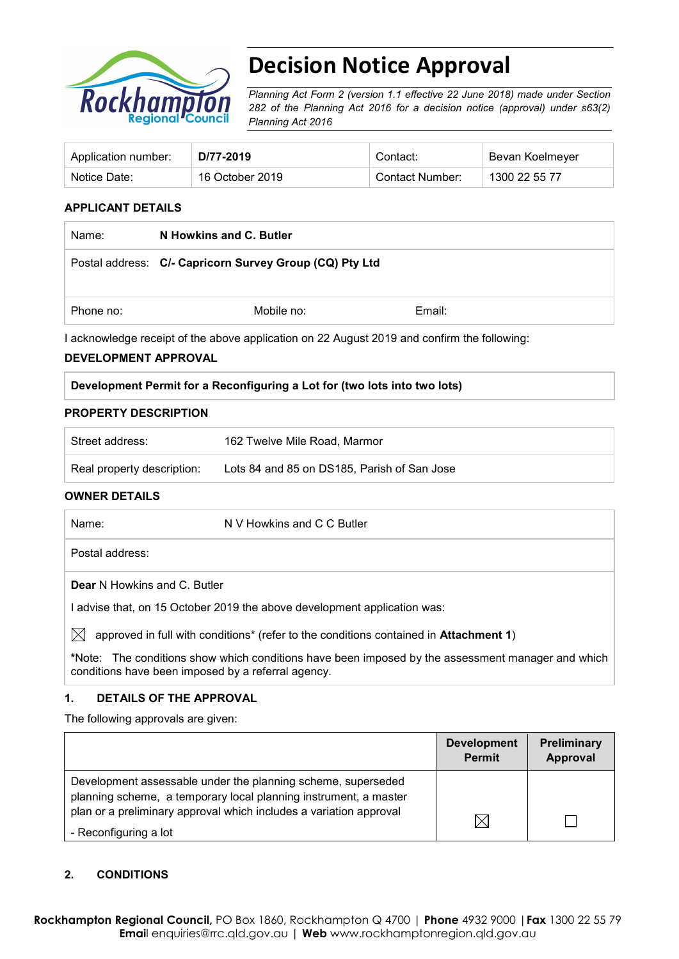

# **Decision Notice Approval**

*Planning Act Form 2 (version 1.1 effective 22 June 2018) made under Section 282 of the Planning Act 2016 for a decision notice (approval) under s63(2) Planning Act 2016*

| Application number: | D/77-2019       | Contact:        | Bevan Koelmeyer |
|---------------------|-----------------|-----------------|-----------------|
| Notice Date:        | 16 October 2019 | Contact Number: | 1300 22 55 77   |

#### **APPLICANT DETAILS**

| Name:     | N Howkins and C. Butler                                 |        |  |
|-----------|---------------------------------------------------------|--------|--|
|           | Postal address: C/- Capricorn Survey Group (CQ) Pty Ltd |        |  |
| Phone no: | Mobile no:                                              | Email: |  |

I acknowledge receipt of the above application on 22 August 2019 and confirm the following:

#### **DEVELOPMENT APPROVAL**

|  | Development Permit for a Reconfiguring a Lot for (two lots into two lots) |  |  |
|--|---------------------------------------------------------------------------|--|--|
|  |                                                                           |  |  |

#### **PROPERTY DESCRIPTION**

| Street address:            | 162 Twelve Mile Road, Marmor                |
|----------------------------|---------------------------------------------|
| Real property description: | Lots 84 and 85 on DS185, Parish of San Jose |

#### **OWNER DETAILS**

| Name:           | N V Howkins and C C Butler                                                                        |
|-----------------|---------------------------------------------------------------------------------------------------|
| Postal address: |                                                                                                   |
|                 | <b>Dear N</b> Howkins and C. Butler                                                               |
|                 | I advise that, on 15 October 2019 the above development application was:                          |
| $\mathbb{X}$    | approved in full with conditions* (refer to the conditions contained in <b>Attachment 1)</b>      |
|                 | *Note: The conditions show which conditions have been imposed by the assessment manager and which |

#### **1. DETAILS OF THE APPROVAL**

conditions have been imposed by a referral agency.

The following approvals are given:

|                                                                                                                                  | <b>Development</b><br><b>Permit</b> | Preliminary<br>Approval |
|----------------------------------------------------------------------------------------------------------------------------------|-------------------------------------|-------------------------|
| Development assessable under the planning scheme, superseded<br>planning scheme, a temporary local planning instrument, a master |                                     |                         |
| plan or a preliminary approval which includes a variation approval<br>- Reconfiguring a lot                                      | $\bowtie$                           |                         |

### **2. CONDITIONS**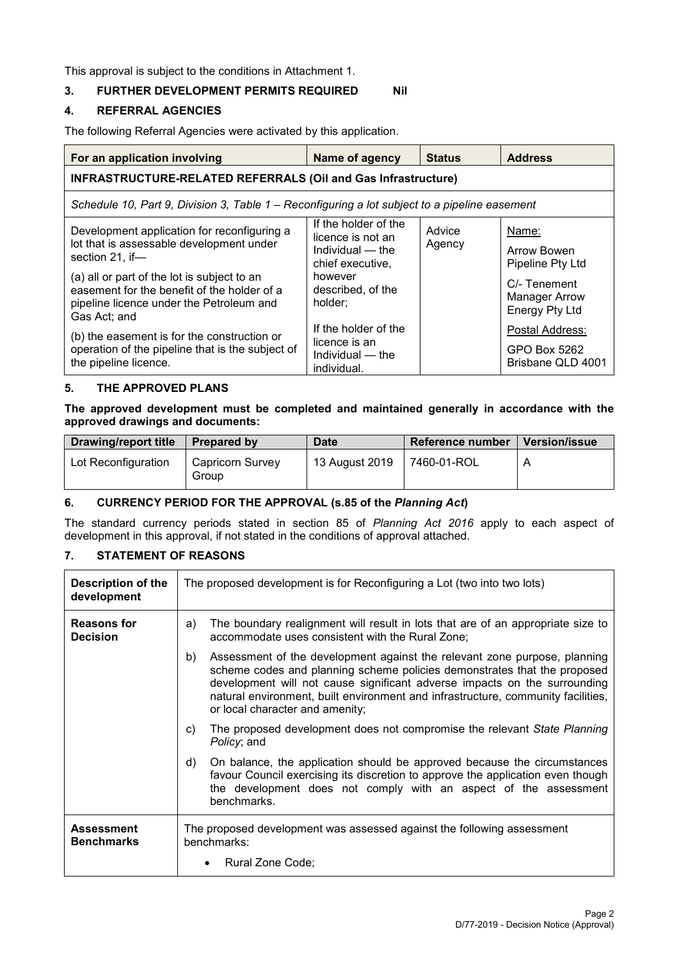This approval is subject to the conditions in Attachment 1.

#### **3. FURTHER DEVELOPMENT PERMITS REQUIRED Nil**

#### **4. REFERRAL AGENCIES**

The following Referral Agencies were activated by this application.

| For an application involving                                                                                                                                                                                                                                         | Name of agency                                                                                                               | <b>Status</b>    | <b>Address</b>                                                                                            |  |  |
|----------------------------------------------------------------------------------------------------------------------------------------------------------------------------------------------------------------------------------------------------------------------|------------------------------------------------------------------------------------------------------------------------------|------------------|-----------------------------------------------------------------------------------------------------------|--|--|
| INFRASTRUCTURE-RELATED REFERRALS (Oil and Gas Infrastructure)                                                                                                                                                                                                        |                                                                                                                              |                  |                                                                                                           |  |  |
| Schedule 10, Part 9, Division 3, Table 1 – Reconfiguring a lot subject to a pipeline easement                                                                                                                                                                        |                                                                                                                              |                  |                                                                                                           |  |  |
| Development application for reconfiguring a<br>lot that is assessable development under<br>section 21, if-<br>(a) all or part of the lot is subject to an<br>easement for the benefit of the holder of a<br>pipeline licence under the Petroleum and<br>Gas Act; and | If the holder of the<br>licence is not an<br>Individual — the<br>chief executive,<br>however<br>described, of the<br>holder; | Advice<br>Agency | Name:<br>Arrow Bowen<br>Pipeline Pty Ltd<br>C/- Tenement<br><b>Manager Arrow</b><br><b>Energy Pty Ltd</b> |  |  |
| (b) the easement is for the construction or<br>operation of the pipeline that is the subject of<br>the pipeline licence.                                                                                                                                             | If the holder of the<br>licence is an<br>Individual — the<br>individual.                                                     |                  | Postal Address:<br>GPO Box 5262<br>Brisbane QLD 4001                                                      |  |  |

#### **5. THE APPROVED PLANS**

**The approved development must be completed and maintained generally in accordance with the approved drawings and documents:**

| <b>Drawing/report title</b> | <b>Prepared by</b>        | <b>Date</b>    | Reference number | <b>Version/issue</b> |
|-----------------------------|---------------------------|----------------|------------------|----------------------|
| Lot Reconfiguration         | Capricorn Survey<br>Group | 13 August 2019 | 7460-01-ROL      |                      |

#### **6. CURRENCY PERIOD FOR THE APPROVAL (s.85 of the** *Planning Act***)**

The standard currency periods stated in section 85 of *Planning Act 2016* apply to each aspect of development in this approval, if not stated in the conditions of approval attached.

## **7. STATEMENT OF REASONS**

| <b>Description of the</b><br>development | The proposed development is for Reconfiguring a Lot (two into two lots)                                                                                                                                                                                                                                                                                         |  |  |
|------------------------------------------|-----------------------------------------------------------------------------------------------------------------------------------------------------------------------------------------------------------------------------------------------------------------------------------------------------------------------------------------------------------------|--|--|
| <b>Reasons for</b><br><b>Decision</b>    | The boundary realignment will result in lots that are of an appropriate size to<br>a)<br>accommodate uses consistent with the Rural Zone;                                                                                                                                                                                                                       |  |  |
|                                          | Assessment of the development against the relevant zone purpose, planning<br>b)<br>scheme codes and planning scheme policies demonstrates that the proposed<br>development will not cause significant adverse impacts on the surrounding<br>natural environment, built environment and infrastructure, community facilities,<br>or local character and amenity; |  |  |
|                                          | The proposed development does not compromise the relevant State Planning<br>C)<br>Policy; and                                                                                                                                                                                                                                                                   |  |  |
|                                          | On balance, the application should be approved because the circumstances<br>d)<br>favour Council exercising its discretion to approve the application even though<br>the development does not comply with an aspect of the assessment<br>benchmarks.                                                                                                            |  |  |
| <b>Assessment</b><br><b>Benchmarks</b>   | The proposed development was assessed against the following assessment<br>benchmarks:                                                                                                                                                                                                                                                                           |  |  |
|                                          | Rural Zone Code;                                                                                                                                                                                                                                                                                                                                                |  |  |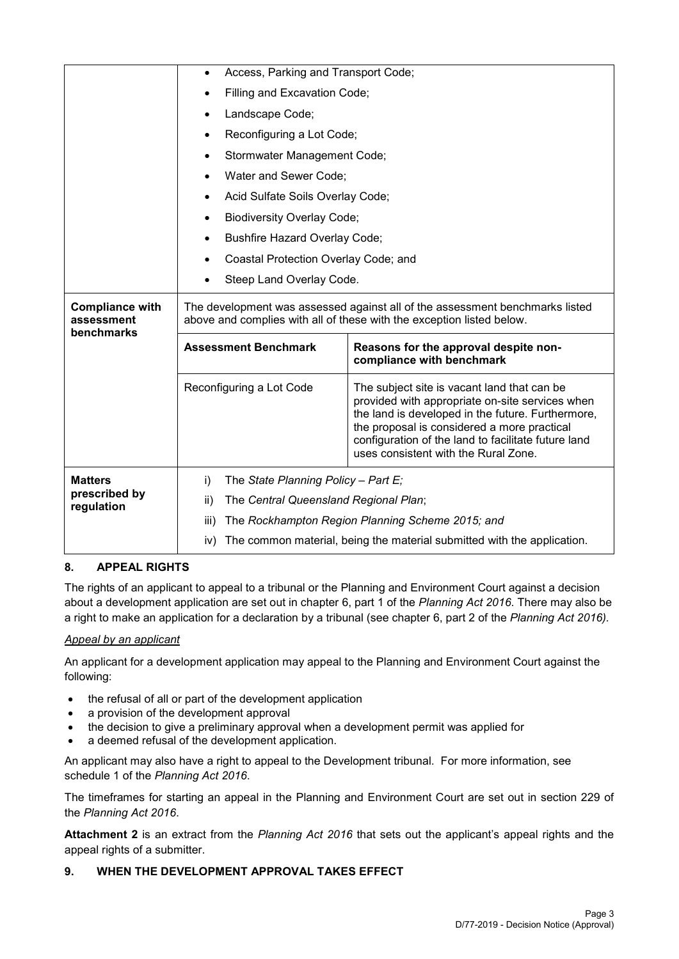|                                                    | Access, Parking and Transport Code;                                            |                                                                                                                                                                                                                                                                                                   |  |  |  |  |
|----------------------------------------------------|--------------------------------------------------------------------------------|---------------------------------------------------------------------------------------------------------------------------------------------------------------------------------------------------------------------------------------------------------------------------------------------------|--|--|--|--|
|                                                    | Filling and Excavation Code;                                                   |                                                                                                                                                                                                                                                                                                   |  |  |  |  |
|                                                    | Landscape Code;                                                                |                                                                                                                                                                                                                                                                                                   |  |  |  |  |
|                                                    |                                                                                | Reconfiguring a Lot Code;                                                                                                                                                                                                                                                                         |  |  |  |  |
|                                                    |                                                                                | Stormwater Management Code;                                                                                                                                                                                                                                                                       |  |  |  |  |
|                                                    | Water and Sewer Code;                                                          |                                                                                                                                                                                                                                                                                                   |  |  |  |  |
|                                                    | $\bullet$                                                                      | Acid Sulfate Soils Overlay Code;                                                                                                                                                                                                                                                                  |  |  |  |  |
|                                                    | <b>Biodiversity Overlay Code;</b>                                              |                                                                                                                                                                                                                                                                                                   |  |  |  |  |
|                                                    | <b>Bushfire Hazard Overlay Code;</b><br>$\bullet$                              |                                                                                                                                                                                                                                                                                                   |  |  |  |  |
|                                                    |                                                                                | Coastal Protection Overlay Code; and                                                                                                                                                                                                                                                              |  |  |  |  |
|                                                    |                                                                                | Steep Land Overlay Code.                                                                                                                                                                                                                                                                          |  |  |  |  |
| <b>Compliance with</b><br>assessment<br>benchmarks |                                                                                | The development was assessed against all of the assessment benchmarks listed<br>above and complies with all of these with the exception listed below.                                                                                                                                             |  |  |  |  |
|                                                    | <b>Assessment Benchmark</b>                                                    | Reasons for the approval despite non-<br>compliance with benchmark                                                                                                                                                                                                                                |  |  |  |  |
|                                                    | Reconfiguring a Lot Code                                                       | The subject site is vacant land that can be<br>provided with appropriate on-site services when<br>the land is developed in the future. Furthermore,<br>the proposal is considered a more practical<br>configuration of the land to facilitate future land<br>uses consistent with the Rural Zone. |  |  |  |  |
| <b>Matters</b><br>prescribed by                    | The State Planning Policy - Part E;<br>i)                                      |                                                                                                                                                                                                                                                                                                   |  |  |  |  |
| regulation                                         | The Central Queensland Regional Plan;<br>ii)                                   |                                                                                                                                                                                                                                                                                                   |  |  |  |  |
|                                                    | iii)                                                                           | The Rockhampton Region Planning Scheme 2015; and                                                                                                                                                                                                                                                  |  |  |  |  |
|                                                    | The common material, being the material submitted with the application.<br>iv) |                                                                                                                                                                                                                                                                                                   |  |  |  |  |

### **8. APPEAL RIGHTS**

The rights of an applicant to appeal to a tribunal or the Planning and Environment Court against a decision about a development application are set out in chapter 6, part 1 of the *Planning Act 2016*. There may also be a right to make an application for a declaration by a tribunal (see chapter 6, part 2 of the *Planning Act 2016).*

#### *Appeal by an applicant*

An applicant for a development application may appeal to the Planning and Environment Court against the following:

- the refusal of all or part of the development application
- a provision of the development approval
- the decision to give a preliminary approval when a development permit was applied for
- a deemed refusal of the development application.

An applicant may also have a right to appeal to the Development tribunal. For more information, see schedule 1 of the *Planning Act 2016*.

The timeframes for starting an appeal in the Planning and Environment Court are set out in section 229 of the *Planning Act 2016*.

**Attachment 2** is an extract from the *Planning Act 2016* that sets out the applicant's appeal rights and the appeal rights of a submitter.

#### **9. WHEN THE DEVELOPMENT APPROVAL TAKES EFFECT**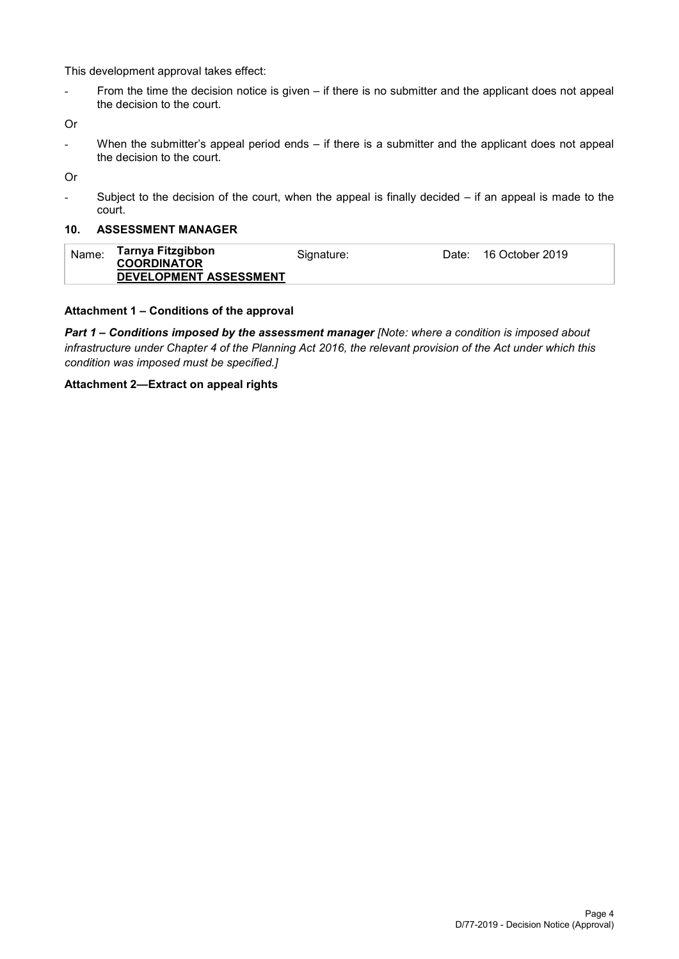This development approval takes effect:

- From the time the decision notice is given – if there is no submitter and the applicant does not appeal the decision to the court.

Or

- When the submitter's appeal period ends – if there is a submitter and the applicant does not appeal the decision to the court.

Or

- Subject to the decision of the court, when the appeal is finally decided – if an appeal is made to the court.

#### **10. ASSESSMENT MANAGER**

| Tarnya Fitzgibbon<br>Name:<br>Date: 16 October 2019<br>Signature:<br><b>COORDINATOR</b><br>DEVELOPMENT ASSESSMENT |  |
|-------------------------------------------------------------------------------------------------------------------|--|
|-------------------------------------------------------------------------------------------------------------------|--|

#### **Attachment 1 – Conditions of the approval**

*Part 1* **–** *Conditions imposed by the assessment manager [Note: where a condition is imposed about infrastructure under Chapter 4 of the Planning Act 2016, the relevant provision of the Act under which this condition was imposed must be specified.]*

#### **Attachment 2—Extract on appeal rights**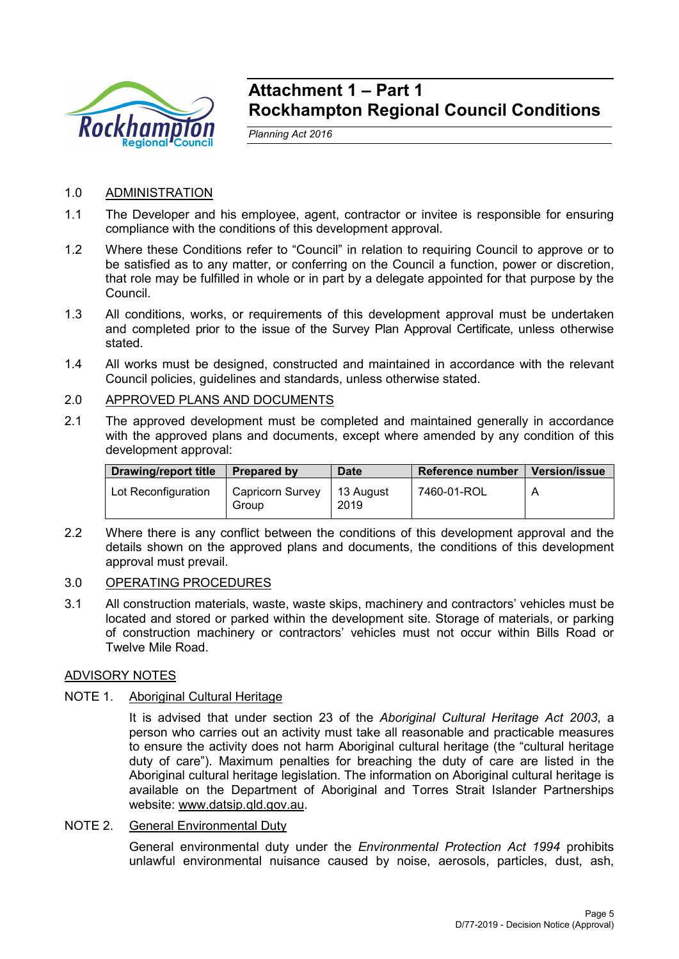

## **Attachment 1 – Part 1 Rockhampton Regional Council Conditions**

*Planning Act 2016*

## 1.0 ADMINISTRATION

- 1.1 The Developer and his employee, agent, contractor or invitee is responsible for ensuring compliance with the conditions of this development approval.
- 1.2 Where these Conditions refer to "Council" in relation to requiring Council to approve or to be satisfied as to any matter, or conferring on the Council a function, power or discretion, that role may be fulfilled in whole or in part by a delegate appointed for that purpose by the Council.
- 1.3 All conditions, works, or requirements of this development approval must be undertaken and completed prior to the issue of the Survey Plan Approval Certificate, unless otherwise stated.
- 1.4 All works must be designed, constructed and maintained in accordance with the relevant Council policies, guidelines and standards, unless otherwise stated.
- 2.0 APPROVED PLANS AND DOCUMENTS
- 2.1 The approved development must be completed and maintained generally in accordance with the approved plans and documents, except where amended by any condition of this development approval:

| <b>Drawing/report title</b> | <b>Prepared by</b>        | <b>Date</b>       | Reference number | <b>Version/issue</b> |
|-----------------------------|---------------------------|-------------------|------------------|----------------------|
| Lot Reconfiguration         | Capricorn Survey<br>Group | 13 August<br>2019 | 7460-01-ROL      |                      |

2.2 Where there is any conflict between the conditions of this development approval and the details shown on the approved plans and documents, the conditions of this development approval must prevail.

### 3.0 OPERATING PROCEDURES

3.1 All construction materials, waste, waste skips, machinery and contractors' vehicles must be located and stored or parked within the development site. Storage of materials, or parking of construction machinery or contractors' vehicles must not occur within Bills Road or Twelve Mile Road.

### ADVISORY NOTES

### NOTE 1. Aboriginal Cultural Heritage

It is advised that under section 23 of the *Aboriginal Cultural Heritage Act 2003*, a person who carries out an activity must take all reasonable and practicable measures to ensure the activity does not harm Aboriginal cultural heritage (the "cultural heritage duty of care"). Maximum penalties for breaching the duty of care are listed in the Aboriginal cultural heritage legislation. The information on Aboriginal cultural heritage is available on the Department of Aboriginal and Torres Strait Islander Partnerships website: [www.datsip.qld.gov.au.](http://www.datsip.qld.gov.au/)

### NOTE 2. General Environmental Duty

General environmental duty under the *Environmental Protection Act 1994* prohibits unlawful environmental nuisance caused by noise, aerosols, particles, dust, ash,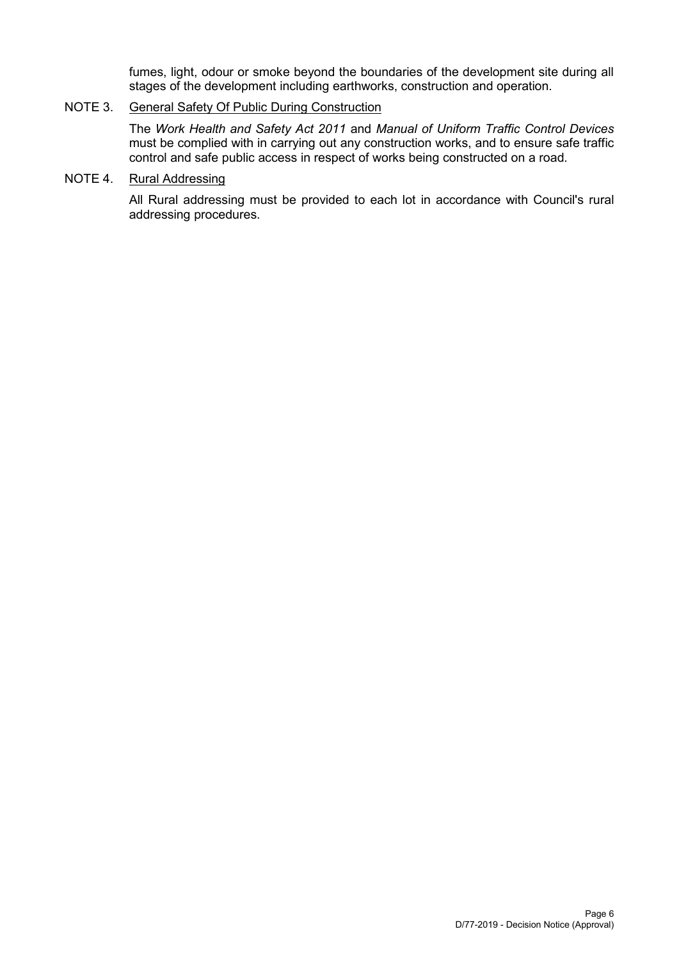fumes, light, odour or smoke beyond the boundaries of the development site during all stages of the development including earthworks, construction and operation.

## NOTE 3. General Safety Of Public During Construction

The *Work Health and Safety Act 2011* and *Manual of Uniform Traffic Control Devices* must be complied with in carrying out any construction works, and to ensure safe traffic control and safe public access in respect of works being constructed on a road.

## NOTE 4. Rural Addressing

All Rural addressing must be provided to each lot in accordance with Council's rural addressing procedures.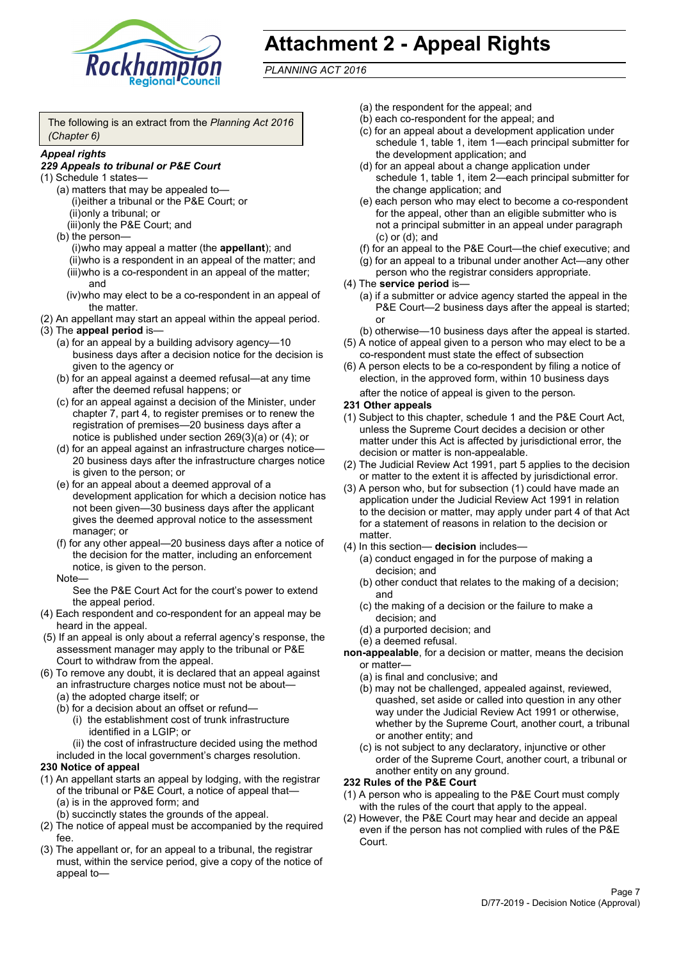

# **Attachment 2 - Appeal Rights**

*PLANNING ACT 2016*

The following is an extract from the *Planning Act 2016 (Chapter 6)*

#### *Appeal rights*

#### *229 Appeals to tribunal or P&E Court*

- (1) Schedule 1 states—
	- (a) matters that may be appealed to— (i)either a tribunal or the P&E Court; or (ii)only a tribunal; or (iii)only the P&E Court; and
	- (b) the person—

(i)who may appeal a matter (the **appellant**); and (ii)who is a respondent in an appeal of the matter; and (iii)who is a co-respondent in an appeal of the matter; and

- (iv)who may elect to be a co-respondent in an appeal of the matter.
- (2) An appellant may start an appeal within the appeal period.
- (3) The **appeal period** is—
	- (a) for an appeal by a building advisory agency—10 business days after a decision notice for the decision is given to the agency or
	- (b) for an appeal against a deemed refusal—at any time after the deemed refusal happens; or
	- (c) for an appeal against a decision of the Minister, under chapter 7, part 4, to register premises or to renew the registration of premises—20 business days after a notice is published under section 269(3)(a) or (4); or
	- (d) for an appeal against an infrastructure charges notice— 20 business days after the infrastructure charges notice is given to the person; or
	- (e) for an appeal about a deemed approval of a development application for which a decision notice has not been given—30 business days after the applicant gives the deemed approval notice to the assessment manager; or
	- (f) for any other appeal—20 business days after a notice of the decision for the matter, including an enforcement notice, is given to the person.

#### Note—

See the P&E Court Act for the court's power to extend the appeal period.

- (4) Each respondent and co-respondent for an appeal may be heard in the appeal.
- (5) If an appeal is only about a referral agency's response, the assessment manager may apply to the tribunal or P&E Court to withdraw from the appeal.
- (6) To remove any doubt, it is declared that an appeal against an infrastructure charges notice must not be about—
	- (a) the adopted charge itself; or
	- (b) for a decision about an offset or refund—
		- (i) the establishment cost of trunk infrastructure identified in a LGIP; or
		- (ii) the cost of infrastructure decided using the method

included in the local government's charges resolution.

- **230 Notice of appeal**
- (1) An appellant starts an appeal by lodging, with the registrar of the tribunal or P&E Court, a notice of appeal that—
	- (a) is in the approved form; and
	- (b) succinctly states the grounds of the appeal.
- (2) The notice of appeal must be accompanied by the required fee.
- (3) The appellant or, for an appeal to a tribunal, the registrar must, within the service period, give a copy of the notice of appeal to—
- (a) the respondent for the appeal; and
- (b) each co-respondent for the appeal; and
- (c) for an appeal about a development application under schedule 1, table 1, item 1—each principal submitter for the development application; and
- (d) for an appeal about a change application under schedule 1, table 1, item 2—each principal submitter for the change application; and
- (e) each person who may elect to become a co-respondent for the appeal, other than an eligible submitter who is not a principal submitter in an appeal under paragraph (c) or (d); and
- (f) for an appeal to the P&E Court—the chief executive; and
- (g) for an appeal to a tribunal under another Act—any other person who the registrar considers appropriate.
- (4) The **service period** is—
	- (a) if a submitter or advice agency started the appeal in the P&E Court—2 business days after the appeal is started; or
	- (b) otherwise—10 business days after the appeal is started.
- (5) A notice of appeal given to a person who may elect to be a co-respondent must state the effect of subsection
- (6) A person elects to be a co-respondent by filing a notice of election, in the approved form, within 10 business days after the notice of appeal is given to the person*.*
- **231 Other appeals**
- (1) Subject to this chapter, schedule 1 and the P&E Court Act, unless the Supreme Court decides a decision or other matter under this Act is affected by jurisdictional error, the decision or matter is non-appealable.
- (2) The Judicial Review Act 1991, part 5 applies to the decision or matter to the extent it is affected by jurisdictional error.
- (3) A person who, but for subsection (1) could have made an application under the Judicial Review Act 1991 in relation to the decision or matter, may apply under part 4 of that Act for a statement of reasons in relation to the decision or matter.
- (4) In this section— **decision** includes—
	- (a) conduct engaged in for the purpose of making a decision; and
	- (b) other conduct that relates to the making of a decision; and
	- (c) the making of a decision or the failure to make a decision; and
	- (d) a purported decision; and
	- (e) a deemed refusal.

**non-appealable**, for a decision or matter, means the decision or matter—

- (a) is final and conclusive; and
- (b) may not be challenged, appealed against, reviewed, quashed, set aside or called into question in any other way under the Judicial Review Act 1991 or otherwise, whether by the Supreme Court, another court, a tribunal or another entity; and
- (c) is not subject to any declaratory, injunctive or other order of the Supreme Court, another court, a tribunal or another entity on any ground.

#### **232 Rules of the P&E Court**

- (1) A person who is appealing to the P&E Court must comply with the rules of the court that apply to the appeal.
- (2) However, the P&E Court may hear and decide an appeal even if the person has not complied with rules of the P&E Court.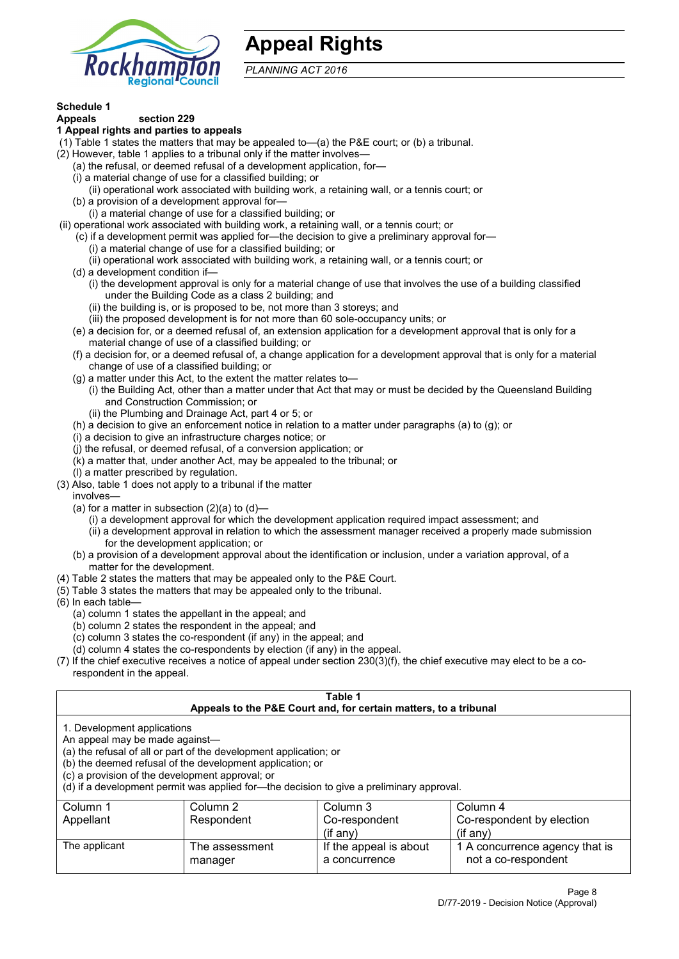

## **Appeal Rights**

*PLANNING ACT 2016*

# **Schedule 1**

#### **Appeals section 229 1 Appeal rights and parties to appeals**

- (1) Table 1 states the matters that may be appealed to—(a) the P&E court; or (b) a tribunal.
- (2) However, table 1 applies to a tribunal only if the matter involves—
	- (a) the refusal, or deemed refusal of a development application, for—
	- (i) a material change of use for a classified building; or
	- (ii) operational work associated with building work, a retaining wall, or a tennis court; or
	- (b) a provision of a development approval for—
	- (i) a material change of use for a classified building; or
- (ii) operational work associated with building work, a retaining wall, or a tennis court; or
	- (c) if a development permit was applied for—the decision to give a preliminary approval for—
		- (i) a material change of use for a classified building; or
		- (ii) operational work associated with building work, a retaining wall, or a tennis court; or
	- (d) a development condition if—
		- (i) the development approval is only for a material change of use that involves the use of a building classified under the Building Code as a class 2 building; and
		- (ii) the building is, or is proposed to be, not more than 3 storeys; and
		- (iii) the proposed development is for not more than 60 sole-occupancy units; or
	- (e) a decision for, or a deemed refusal of, an extension application for a development approval that is only for a material change of use of a classified building; or
	- (f) a decision for, or a deemed refusal of, a change application for a development approval that is only for a material change of use of a classified building; or
	- (g) a matter under this Act, to the extent the matter relates to—
		- (i) the Building Act, other than a matter under that Act that may or must be decided by the Queensland Building and Construction Commission; or
		- (ii) the Plumbing and Drainage Act, part 4 or 5; or
	- (h) a decision to give an enforcement notice in relation to a matter under paragraphs (a) to (g); or
	- (i) a decision to give an infrastructure charges notice; or
	- (j) the refusal, or deemed refusal, of a conversion application; or
	- (k) a matter that, under another Act, may be appealed to the tribunal; or
	- (l) a matter prescribed by regulation.
- (3) Also, table 1 does not apply to a tribunal if the matter

involves—

- (a) for a matter in subsection  $(2)(a)$  to  $(d)$ 
	- (i) a development approval for which the development application required impact assessment; and
	- (ii) a development approval in relation to which the assessment manager received a properly made submission for the development application; or
- (b) a provision of a development approval about the identification or inclusion, under a variation approval, of a matter for the development.
- (4) Table 2 states the matters that may be appealed only to the P&E Court.
- (5) Table 3 states the matters that may be appealed only to the tribunal.
- (6) In each table—
	- (a) column 1 states the appellant in the appeal; and
	- (b) column 2 states the respondent in the appeal; and
	- (c) column 3 states the co-respondent (if any) in the appeal; and
	- (d) column 4 states the co-respondents by election (if any) in the appeal.
- (7) If the chief executive receives a notice of appeal under section 230(3)(f), the chief executive may elect to be a corespondent in the appeal.

| Table 1<br>Appeals to the P&E Court and, for certain matters, to a tribunal |                                                                                          |                        |                                |  |  |
|-----------------------------------------------------------------------------|------------------------------------------------------------------------------------------|------------------------|--------------------------------|--|--|
|                                                                             |                                                                                          |                        |                                |  |  |
| 1. Development applications                                                 |                                                                                          |                        |                                |  |  |
| An appeal may be made against-                                              |                                                                                          |                        |                                |  |  |
|                                                                             | (a) the refusal of all or part of the development application; or                        |                        |                                |  |  |
|                                                                             | (b) the deemed refusal of the development application; or                                |                        |                                |  |  |
| (c) a provision of the development approval; or                             |                                                                                          |                        |                                |  |  |
|                                                                             | (d) if a development permit was applied for—the decision to give a preliminary approval. |                        |                                |  |  |
| Column 1                                                                    | Column 2                                                                                 | Column 3               | Column 4                       |  |  |
| Appellant                                                                   | Respondent<br>Co-respondent by election<br>Co-respondent                                 |                        |                                |  |  |
| $(if$ any)<br>$(i$ f any)                                                   |                                                                                          |                        |                                |  |  |
| The applicant                                                               | The assessment                                                                           | If the appeal is about | 1 A concurrence agency that is |  |  |
|                                                                             | manager                                                                                  | a concurrence          | not a co-respondent            |  |  |
|                                                                             |                                                                                          |                        |                                |  |  |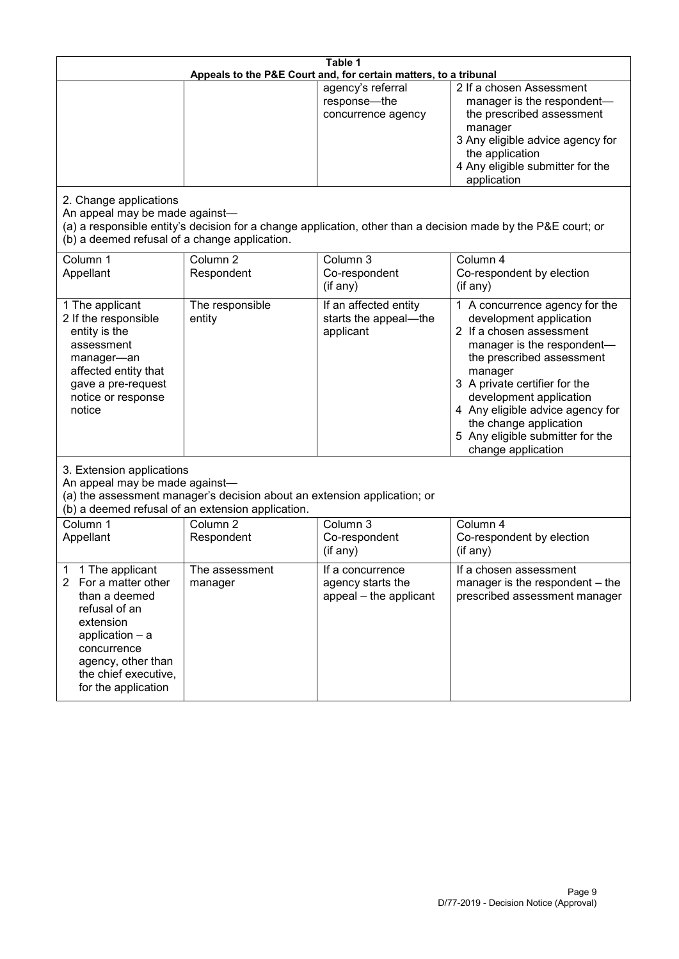| Table 1<br>Appeals to the P&E Court and, for certain matters, to a tribunal                                                                                                                           |                                   |                                                                 |                                                                                                                                                                                                                                                                                                                                                 |  |
|-------------------------------------------------------------------------------------------------------------------------------------------------------------------------------------------------------|-----------------------------------|-----------------------------------------------------------------|-------------------------------------------------------------------------------------------------------------------------------------------------------------------------------------------------------------------------------------------------------------------------------------------------------------------------------------------------|--|
|                                                                                                                                                                                                       |                                   | agency's referral<br>response-the<br>concurrence agency         | 2 If a chosen Assessment<br>manager is the respondent-<br>the prescribed assessment<br>manager<br>3 Any eligible advice agency for<br>the application<br>4 Any eligible submitter for the<br>application                                                                                                                                        |  |
| 2. Change applications<br>An appeal may be made against-<br>(b) a deemed refusal of a change application.                                                                                             |                                   |                                                                 | (a) a responsible entity's decision for a change application, other than a decision made by the P&E court; or                                                                                                                                                                                                                                   |  |
| Column 1<br>Appellant                                                                                                                                                                                 | Column <sub>2</sub><br>Respondent | Column 3<br>Co-respondent<br>(if any)                           | Column 4<br>Co-respondent by election<br>(if any)                                                                                                                                                                                                                                                                                               |  |
| 1 The applicant<br>2 If the responsible<br>entity is the<br>assessment<br>manager-an<br>affected entity that<br>gave a pre-request<br>notice or response<br>notice                                    | The responsible<br>entity         | If an affected entity<br>starts the appeal-the<br>applicant     | 1 A concurrence agency for the<br>development application<br>2 If a chosen assessment<br>manager is the respondent-<br>the prescribed assessment<br>manager<br>3 A private certifier for the<br>development application<br>4 Any eligible advice agency for<br>the change application<br>5 Any eligible submitter for the<br>change application |  |
| 3. Extension applications<br>An appeal may be made against-<br>(a) the assessment manager's decision about an extension application; or<br>(b) a deemed refusal of an extension application.          |                                   |                                                                 |                                                                                                                                                                                                                                                                                                                                                 |  |
| Column 1<br>Appellant                                                                                                                                                                                 | Column <sub>2</sub><br>Respondent | Column 3<br>Co-respondent<br>(if any)                           | Column 4<br>Co-respondent by election<br>(if any)                                                                                                                                                                                                                                                                                               |  |
| 1 The applicant<br>1<br>2<br>For a matter other<br>than a deemed<br>refusal of an<br>extension<br>application - a<br>concurrence<br>agency, other than<br>the chief executive,<br>for the application | The assessment<br>manager         | If a concurrence<br>agency starts the<br>appeal - the applicant | If a chosen assessment<br>manager is the respondent - the<br>prescribed assessment manager                                                                                                                                                                                                                                                      |  |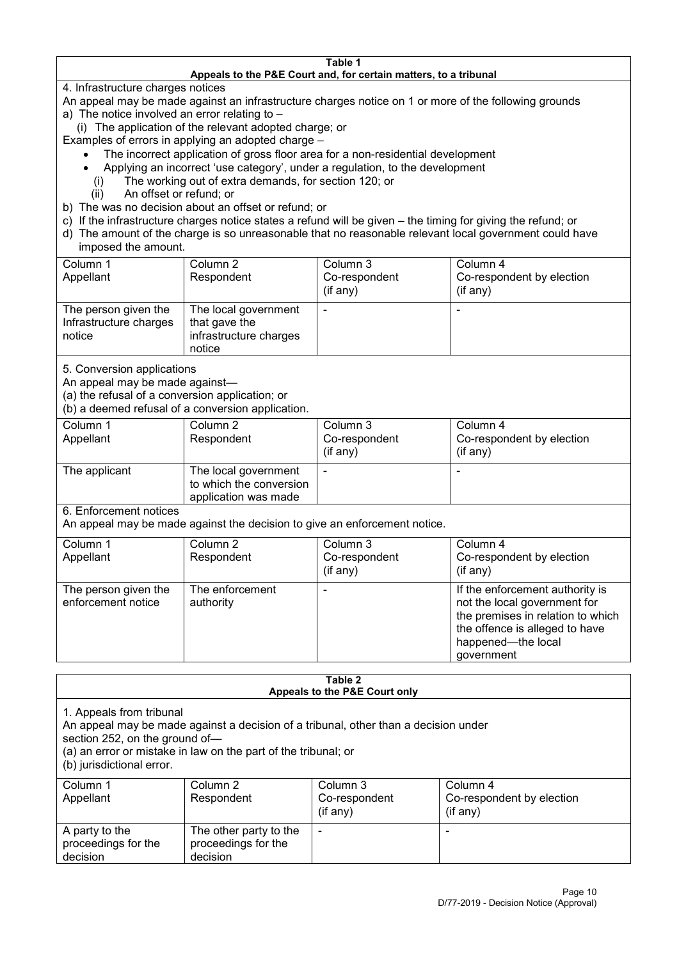#### **Table 1 Appeals to the P&E Court and, for certain matters, to a tribunal**

4. Infrastructure charges notices

- An appeal may be made against an infrastructure charges notice on 1 or more of the following grounds
- a) The notice involved an error relating to
	- (i) The application of the relevant adopted charge; or
- Examples of errors in applying an adopted charge
	- The incorrect application of gross floor area for a non-residential development
	- Applying an incorrect 'use category', under a regulation, to the development
	- (i) The working out of extra demands, for section 120; or
	- (ii) An offset or refund; or
- b) The was no decision about an offset or refund; or
- c) If the infrastructure charges notice states a refund will be given the timing for giving the refund; or
- d) The amount of the charge is so unreasonable that no reasonable relevant local government could have

## imposed the amount.

| Column 1               | Column 2               | Column 3      | Column 4                  |
|------------------------|------------------------|---------------|---------------------------|
| Appellant              | Respondent             | Co-respondent | Co-respondent by election |
|                        |                        | (if any)      | $($ if any $)$            |
| The person given the   | The local government   |               |                           |
| Infrastructure charges | that gave the          |               |                           |
| notice                 | infrastructure charges |               |                           |
|                        | notice                 |               |                           |

5. Conversion applications

An appeal may be made against—

(a) the refusal of a conversion application; or

(b) a deemed refusal of a conversion application.

| Column 1<br>Appellant | Column 2<br>Respondent                                                  | Column 3<br>Co-respondent<br>$($ if any $)$ | Column 4<br>Co-respondent by election<br>$($ if any $)$ |
|-----------------------|-------------------------------------------------------------------------|---------------------------------------------|---------------------------------------------------------|
| The applicant         | The local government<br>to which the conversion<br>application was made |                                             | $\overline{\phantom{0}}$                                |

6. Enforcement notices

An appeal may be made against the decision to give an enforcement notice.

| Column 1                                   | Column 2                     | Column 3      | Column 4                                                                                                                                                                   |
|--------------------------------------------|------------------------------|---------------|----------------------------------------------------------------------------------------------------------------------------------------------------------------------------|
| Appellant                                  | Respondent                   | Co-respondent | Co-respondent by election                                                                                                                                                  |
|                                            |                              | (if any)      | $($ if any $)$                                                                                                                                                             |
| The person given the<br>enforcement notice | The enforcement<br>authority |               | If the enforcement authority is<br>not the local government for<br>the premises in relation to which<br>the offence is alleged to have<br>happened-the local<br>government |

#### **Table 2 Appeals to the P&E Court only**

1. Appeals from tribunal

An appeal may be made against a decision of a tribunal, other than a decision under

section 252, on the ground of—

(a) an error or mistake in law on the part of the tribunal; or

(b) jurisdictional error.

| Column 1<br>Appellant                             | Column 2<br>Respondent                                    | Column 3<br>Co-respondent<br>$($ if any $)$ | Column 4<br>Co-respondent by election<br>$($ if any $)$ |
|---------------------------------------------------|-----------------------------------------------------------|---------------------------------------------|---------------------------------------------------------|
| A party to the<br>proceedings for the<br>decision | The other party to the<br>proceedings for the<br>decision | ٠                                           |                                                         |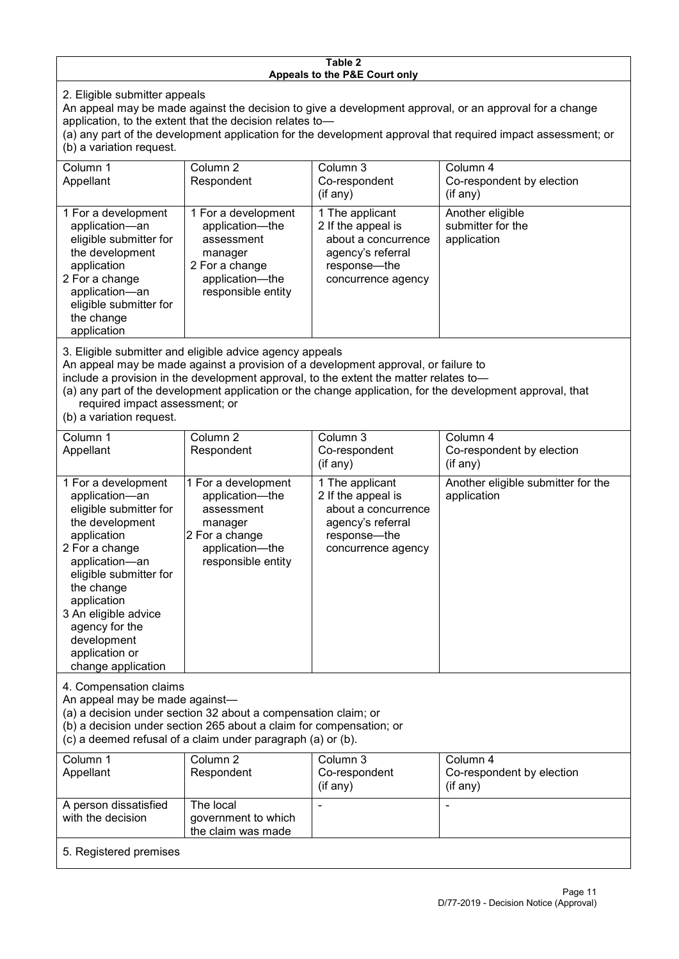#### **Table 2 Appeals to the P&E Court only**

2. Eligible submitter appeals

An appeal may be made against the decision to give a development approval, or an approval for a change application, to the extent that the decision relates to—

(a) any part of the development application for the development approval that required impact assessment; or (b) a variation request.

| Column 1<br>Appellant                                                                                                                                                                        | Column 2<br>Respondent                                                                                                     | Column 3<br>Co-respondent<br>(if any)                                                                                     | Column 4<br>Co-respondent by election<br>(if any)    |  |
|----------------------------------------------------------------------------------------------------------------------------------------------------------------------------------------------|----------------------------------------------------------------------------------------------------------------------------|---------------------------------------------------------------------------------------------------------------------------|------------------------------------------------------|--|
| 1 For a development<br>application-an<br>eligible submitter for<br>the development<br>application<br>2 For a change<br>application-an<br>eligible submitter for<br>the change<br>application | 1 For a development<br>application-the<br>assessment<br>manager<br>2 For a change<br>application-the<br>responsible entity | 1 The applicant<br>2 If the appeal is<br>about a concurrence<br>agency's referral<br>response---the<br>concurrence agency | Another eligible<br>submitter for the<br>application |  |
| O. Eliaikha ankarittan and aliaikha admias ananan ann an ala                                                                                                                                 |                                                                                                                            |                                                                                                                           |                                                      |  |

3. Eligible submitter and eligible advice agency appeals

An appeal may be made against a provision of a development approval, or failure to

include a provision in the development approval, to the extent the matter relates to—

(a) any part of the development application or the change application, for the development approval, that required impact assessment; or

(b) a variation request.

| Column 1<br>Appellant                                                                                                                                                                                                                                                                         | Column <sub>2</sub><br>Respondent                                                                                          | Column 3<br>Co-respondent<br>(if any)                                                                                   | Column 4<br>Co-respondent by election<br>(if any) |
|-----------------------------------------------------------------------------------------------------------------------------------------------------------------------------------------------------------------------------------------------------------------------------------------------|----------------------------------------------------------------------------------------------------------------------------|-------------------------------------------------------------------------------------------------------------------------|---------------------------------------------------|
| 1 For a development<br>application-an<br>eligible submitter for<br>the development<br>application<br>2 For a change<br>application-an<br>eligible submitter for<br>the change<br>application<br>3 An eligible advice<br>agency for the<br>development<br>application or<br>change application | 1 For a development<br>application-the<br>assessment<br>manager<br>2 For a change<br>application-the<br>responsible entity | 1 The applicant<br>2 If the appeal is<br>about a concurrence<br>agency's referral<br>response-the<br>concurrence agency | Another eligible submitter for the<br>application |
| 4. Compensation claims<br>An appeal may be made against-<br>(a) a decision under section 32 about a compensation claim; or<br>(b) a decision under section 265 about a claim for compensation; or<br>(c) a deemed refusal of a claim under paragraph (a) or (b).                              |                                                                                                                            |                                                                                                                         |                                                   |
| Column 1<br>Appellant                                                                                                                                                                                                                                                                         | Column <sub>2</sub><br>Respondent                                                                                          | Column 3<br>Co-respondent<br>(if any)                                                                                   | Column 4<br>Co-respondent by election<br>(if any) |
| A person dissatisfied<br>with the decision                                                                                                                                                                                                                                                    | The local<br>government to which<br>the claim was made                                                                     |                                                                                                                         | ۰                                                 |
| 5. Registered premises                                                                                                                                                                                                                                                                        |                                                                                                                            |                                                                                                                         |                                                   |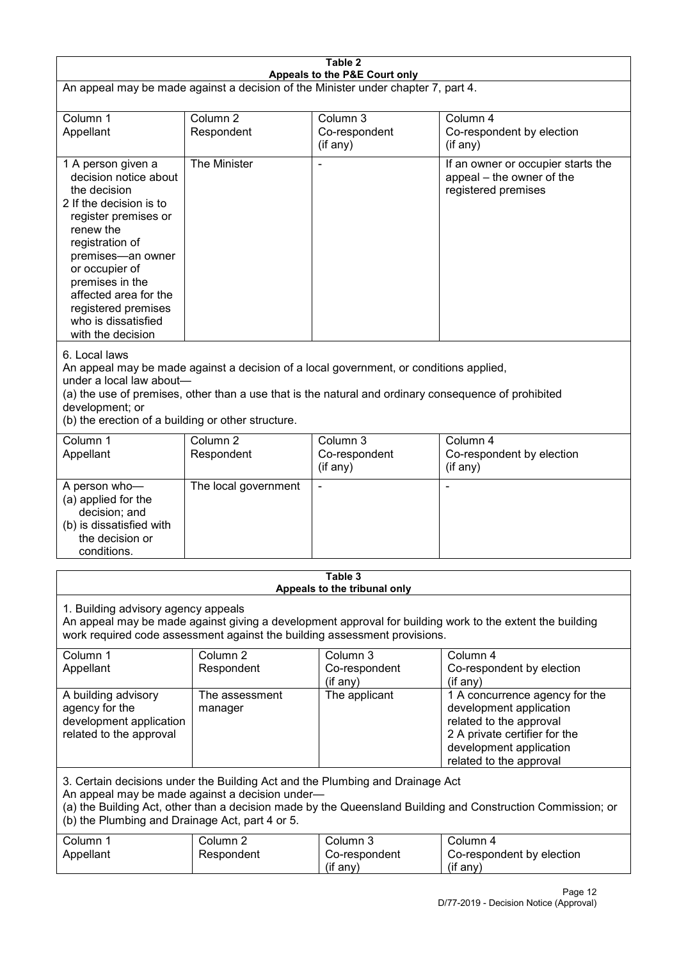| Table 2<br>Appeals to the P&E Court only                                                                                                                                                                                                                                                             |                                   |                                                                                                                                                                                                |                                                                                                                                                                             |  |
|------------------------------------------------------------------------------------------------------------------------------------------------------------------------------------------------------------------------------------------------------------------------------------------------------|-----------------------------------|------------------------------------------------------------------------------------------------------------------------------------------------------------------------------------------------|-----------------------------------------------------------------------------------------------------------------------------------------------------------------------------|--|
| An appeal may be made against a decision of the Minister under chapter 7, part 4.                                                                                                                                                                                                                    |                                   |                                                                                                                                                                                                |                                                                                                                                                                             |  |
| Column 1<br>Appellant                                                                                                                                                                                                                                                                                | Column <sub>2</sub><br>Respondent | Column 3<br>Co-respondent<br>(if any)                                                                                                                                                          | Column 4<br>Co-respondent by election<br>(if any)                                                                                                                           |  |
| 1 A person given a<br>decision notice about<br>the decision<br>2 If the decision is to<br>register premises or<br>renew the<br>registration of<br>premises-an owner<br>or occupier of<br>premises in the<br>affected area for the<br>registered premises<br>who is dissatisfied<br>with the decision | The Minister                      |                                                                                                                                                                                                | If an owner or occupier starts the<br>appeal - the owner of the<br>registered premises                                                                                      |  |
| 6. Local laws<br>under a local law about-<br>development; or<br>(b) the erection of a building or other structure.                                                                                                                                                                                   |                                   | An appeal may be made against a decision of a local government, or conditions applied,<br>(a) the use of premises, other than a use that is the natural and ordinary consequence of prohibited |                                                                                                                                                                             |  |
| Column 1<br>Appellant                                                                                                                                                                                                                                                                                | Column <sub>2</sub><br>Respondent | Column 3<br>Co-respondent<br>(if any)                                                                                                                                                          | Column 4<br>Co-respondent by election<br>(if any)                                                                                                                           |  |
| A person who-<br>(a) applied for the<br>decision; and<br>(b) is dissatisfied with<br>the decision or<br>conditions.                                                                                                                                                                                  | The local government              |                                                                                                                                                                                                | ٠                                                                                                                                                                           |  |
|                                                                                                                                                                                                                                                                                                      |                                   | Table 3<br>Appeals to the tribunal only                                                                                                                                                        |                                                                                                                                                                             |  |
| 1. Building advisory agency appeals<br>An appeal may be made against giving a development approval for building work to the extent the building<br>work required code assessment against the building assessment provisions.                                                                         |                                   |                                                                                                                                                                                                |                                                                                                                                                                             |  |
| Column 1<br>Appellant                                                                                                                                                                                                                                                                                | Column <sub>2</sub><br>Respondent | Column 3<br>Co-respondent<br>(if any)                                                                                                                                                          | Column 4<br>Co-respondent by election<br>(if any)                                                                                                                           |  |
| A building advisory<br>agency for the<br>development application<br>related to the approval                                                                                                                                                                                                          | The assessment<br>manager         | The applicant                                                                                                                                                                                  | 1 A concurrence agency for the<br>development application<br>related to the approval<br>2 A private certifier for the<br>development application<br>related to the approval |  |
| 3. Certain decisions under the Building Act and the Plumbing and Drainage Act<br>An appeal may be made against a decision under-<br>(a) the Building Act, other than a decision made by the Queensland Building and Construction Commission; or<br>(b) the Plumbing and Drainage Act, part 4 or 5.   |                                   |                                                                                                                                                                                                |                                                                                                                                                                             |  |
| Column 1<br>Appellant                                                                                                                                                                                                                                                                                | Column <sub>2</sub><br>Respondent | Column 3<br>Co-respondent<br>(if any)                                                                                                                                                          | Column 4<br>Co-respondent by election<br>(if any)                                                                                                                           |  |